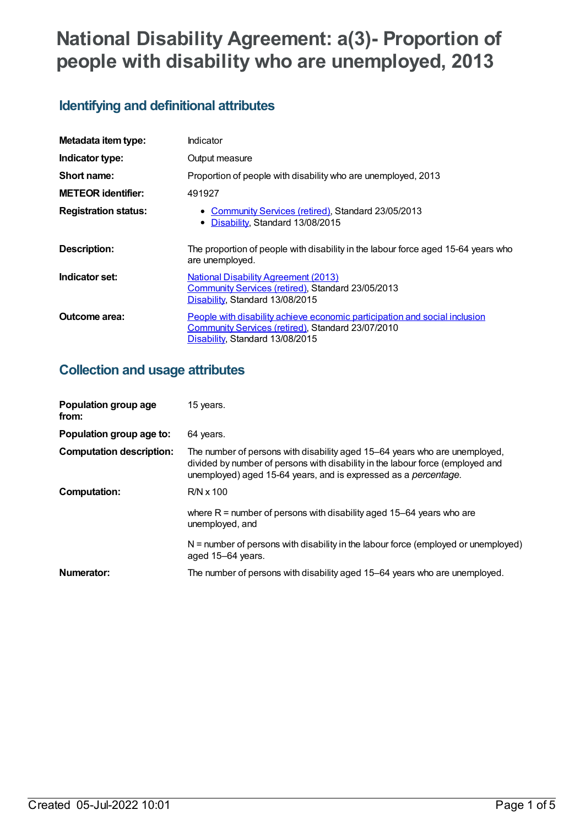# **National Disability Agreement: a(3)- Proportion of people with disability who are unemployed, 2013**

## **Identifying and definitional attributes**

| Metadata item type:         | Indicator                                                                                                                                                                 |
|-----------------------------|---------------------------------------------------------------------------------------------------------------------------------------------------------------------------|
| Indicator type:             | Output measure                                                                                                                                                            |
| Short name:                 | Proportion of people with disability who are unemployed, 2013                                                                                                             |
| <b>METEOR identifier:</b>   | 491927                                                                                                                                                                    |
| <b>Registration status:</b> | • Community Services (retired), Standard 23/05/2013<br>Disability, Standard 13/08/2015<br>$\bullet$                                                                       |
| <b>Description:</b>         | The proportion of people with disability in the labour force aged 15-64 years who<br>are unemployed.                                                                      |
| Indicator set:              | <b>National Disability Agreement (2013)</b><br>Community Services (retired), Standard 23/05/2013<br>Disability, Standard 13/08/2015                                       |
| Outcome area:               | People with disability achieve economic participation and social inclusion<br><b>Community Services (retired), Standard 23/07/2010</b><br>Disability, Standard 13/08/2015 |

## **Collection and usage attributes**

| Population group age<br>from:   | 15 years.                                                                                                                                                                                                                               |
|---------------------------------|-----------------------------------------------------------------------------------------------------------------------------------------------------------------------------------------------------------------------------------------|
| Population group age to:        | 64 years.                                                                                                                                                                                                                               |
| <b>Computation description:</b> | The number of persons with disability aged 15–64 years who are unemployed,<br>divided by number of persons with disability in the labour force (employed and<br>unemployed) aged 15-64 years, and is expressed as a <i>percentage</i> . |
| <b>Computation:</b>             | $R/N \times 100$                                                                                                                                                                                                                        |
|                                 | where $R =$ number of persons with disability aged 15-64 years who are<br>unemployed, and                                                                                                                                               |
|                                 | $N =$ number of persons with disability in the labour force (employed or unemployed)<br>aged 15-64 years.                                                                                                                               |
| Numerator:                      | The number of persons with disability aged 15-64 years who are unemployed.                                                                                                                                                              |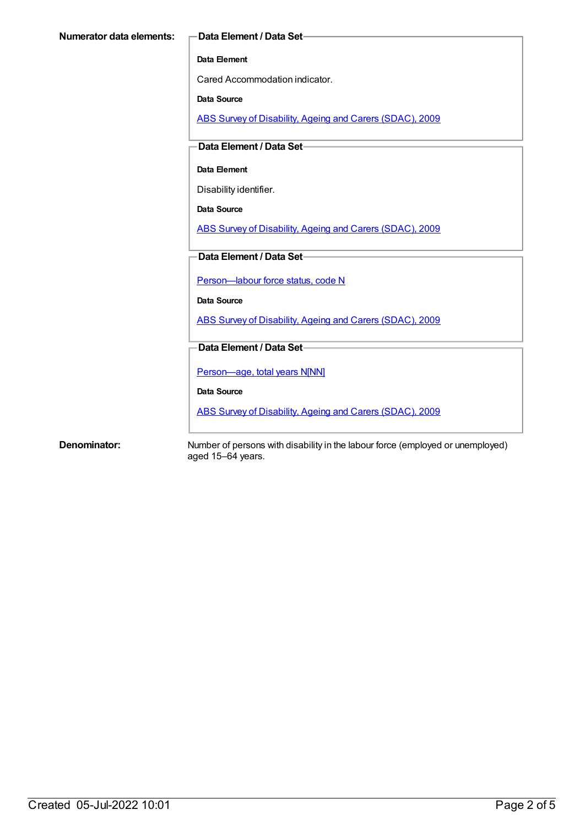#### **Data Element**

Cared Accommodation indicator.

**Data Source**

ABS Survey of [Disability,](https://meteor.aihw.gov.au/content/445288) Ageing and Carers (SDAC), 2009

**Data Element / Data Set**

#### **Data Element**

Disability identifier.

**Data Source**

ABS Survey of [Disability,](https://meteor.aihw.gov.au/content/445288) Ageing and Carers (SDAC), 2009

**Data Element / Data Set**

[Person—labour](https://meteor.aihw.gov.au/content/270112) force status, code N

**Data Source**

ABS Survey of [Disability,](https://meteor.aihw.gov.au/content/445288) Ageing and Carers (SDAC), 2009

**Data Element / Data Set**

[Person—age,](https://meteor.aihw.gov.au/content/303794) total years N[NN]

**Data Source**

ABS Survey of [Disability,](https://meteor.aihw.gov.au/content/445288) Ageing and Carers (SDAC), 2009

**Denominator:** Number of persons with disability in the labour force (employed or unemployed) aged 15–64 years.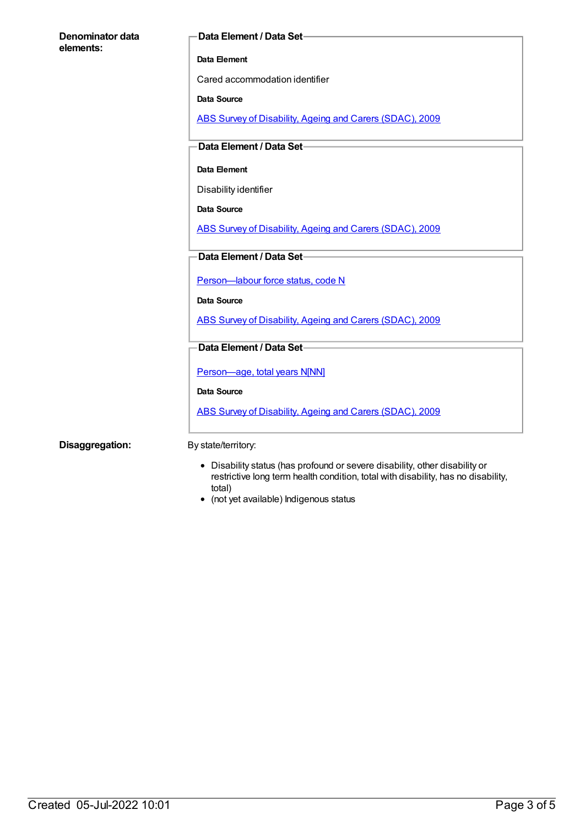| Denominator data | Data Element / Data Set-                                 |
|------------------|----------------------------------------------------------|
| elements:        |                                                          |
|                  | Data Element                                             |
|                  | Cared accommodation identifier                           |
|                  | <b>Data Source</b>                                       |
|                  | ABS Survey of Disability, Ageing and Carers (SDAC), 2009 |
|                  | Data Element / Data Set-                                 |
|                  |                                                          |
|                  | Data Element                                             |
|                  | Disability identifier                                    |
|                  | Data Source                                              |
|                  | ABS Survey of Disability, Ageing and Carers (SDAC), 2009 |
|                  |                                                          |
|                  | Data Element / Data Set-                                 |
|                  | Person-labour force status, code N                       |
|                  | Data Source                                              |
|                  | ABS Survey of Disability, Ageing and Carers (SDAC), 2009 |
|                  |                                                          |
|                  | Data Element / Data Set-                                 |
|                  | Person-age, total years N[NN]                            |
|                  | <b>Data Source</b>                                       |
|                  | ABS Survey of Disability, Ageing and Carers (SDAC), 2009 |
|                  |                                                          |
| Disaggregation:  | By state/territory:                                      |

- Disability status (has profound or severe disability, other disability or restrictive long term health condition, total with disability, has no disability, total)
- (not yet available) Indigenous status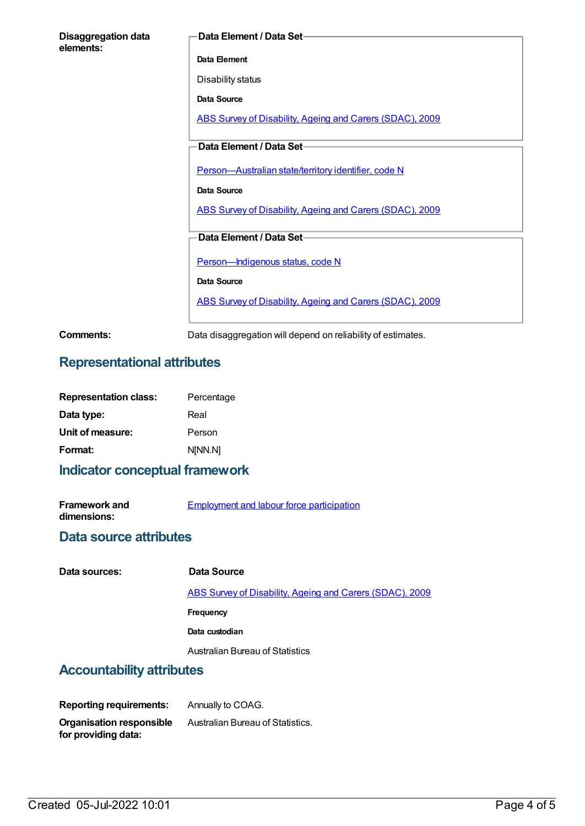| <b>Disaggregation data</b><br>elements: | Data Element / Data Set-                                 |
|-----------------------------------------|----------------------------------------------------------|
|                                         | Data Element                                             |
|                                         | Disability status                                        |
|                                         | Data Source                                              |
|                                         | ABS Survey of Disability, Ageing and Carers (SDAC), 2009 |
|                                         | Data Element / Data Set-                                 |
|                                         | Person-Australian state/territory identifier, code N     |
|                                         | Data Source                                              |
|                                         | ABS Survey of Disability, Ageing and Carers (SDAC), 2009 |
|                                         | Data Element / Data Set-                                 |
|                                         | Person-Indigenous status, code N                         |
|                                         | Data Source                                              |
|                                         | ABS Survey of Disability, Ageing and Carers (SDAC), 2009 |
|                                         |                                                          |

**Comments:** Data disaggregation will depend on reliability of estimates.

## **Representational attributes**

| Percentage |
|------------|
| Real       |
| Person     |
| N[NN.N]    |
|            |

#### **Indicator conceptual framework**

| <b>Framework and</b> | Employment and labour force participation |
|----------------------|-------------------------------------------|
| dimensions:          |                                           |

#### **Data source attributes**

| Data sources:             | Data Source                                              |
|---------------------------|----------------------------------------------------------|
|                           | ABS Survey of Disability, Ageing and Carers (SDAC), 2009 |
|                           | <b>Frequency</b>                                         |
|                           | Data custodian                                           |
|                           | Australian Bureau of Statistics                          |
| Accountability attributes |                                                          |

## **Accountability attributes**

**Reporting requirements:** Annually to COAG. **Organisation responsible for providing data:** Australian Bureau of Statistics.